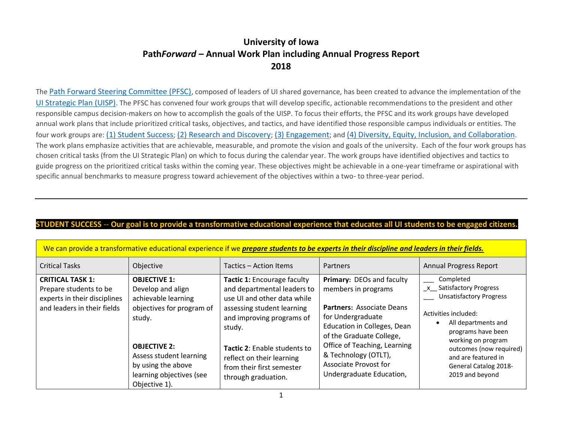# **University of Iowa Path***Forward –* **Annual Work Plan including Annual Progress Report 2018**

The [Path Forward Steering Committee \(PFSC\)](https://pathforward.dev.drupal.uiowa.edu/steering-committee), composed of leaders of UI shared governance, has been created to advance the implementation of the [UI Strategic Plan \(UISP\)](https://provost.uiowa.edu/strategic-plan-2016-2021). The PFSC has convened four work groups that will develop specific, actionable recommendations to the president and other responsible campus decision-makers on how to accomplish the goals of the UISP. To focus their efforts, the PFSC and its work groups have developed annual work plans that include prioritized critical tasks, objectives, and tactics, and have identified those responsible campus individuals or entities. The four work groups are: [\(1\) Student Success](https://pathforward.dev.drupal.uiowa.edu/student-success); [\(2\) Research and Discovery](https://pathforward.dev.drupal.uiowa.edu/research-and-discovery); [\(3\) Engagement](https://pathforward.dev.drupal.uiowa.edu/engagement); and [\(4\) Diversity, Equity, Inclusion, and Collaboration](https://pathforward.dev.drupal.uiowa.edu/diversity-equity-inclusion-and-collaboration). The work plans emphasize activities that are achievable, measurable, and promote the vision and goals of the university. Each of the four work groups has chosen critical tasks (from the UI Strategic Plan) on which to focus during the calendar year. The work groups have identified objectives and tactics to guide progress on the prioritized critical tasks within the coming year. These objectives might be achievable in a one-year timeframe or aspirational with specific annual benchmarks to measure progress toward achievement of the objectives within a two- to three-year period.

### **STUDENT SUCCESS** -- **Our goal is to provide a transformative educational experience that educates all UI students to be engaged citizens.**

| <u>We can provide a transformative cuacational experience if we prepare stauents to be experts in their uistipline una ieuwers in their fields.</u> |                                                                                                                                                                                                                             |                                                                                                                                                                                                                                                                                 |                                                                                                                                                                                                                                                                                   |                                                                                                                                                                                                                                                                 |
|-----------------------------------------------------------------------------------------------------------------------------------------------------|-----------------------------------------------------------------------------------------------------------------------------------------------------------------------------------------------------------------------------|---------------------------------------------------------------------------------------------------------------------------------------------------------------------------------------------------------------------------------------------------------------------------------|-----------------------------------------------------------------------------------------------------------------------------------------------------------------------------------------------------------------------------------------------------------------------------------|-----------------------------------------------------------------------------------------------------------------------------------------------------------------------------------------------------------------------------------------------------------------|
| <b>Critical Tasks</b>                                                                                                                               | Objective                                                                                                                                                                                                                   | Tactics – Action Items                                                                                                                                                                                                                                                          | Partners                                                                                                                                                                                                                                                                          | <b>Annual Progress Report</b>                                                                                                                                                                                                                                   |
| <b>CRITICAL TASK 1:</b><br>Prepare students to be<br>experts in their disciplines<br>and leaders in their fields                                    | <b>OBJECTIVE 1:</b><br>Develop and align<br>achievable learning<br>objectives for program of<br>study.<br><b>OBJECTIVE 2:</b><br>Assess student learning<br>by using the above<br>learning objectives (see<br>Objective 1). | Tactic 1: Encourage faculty<br>and departmental leaders to<br>use UI and other data while<br>assessing student learning<br>and improving programs of<br>study.<br>Tactic 2: Enable students to<br>reflect on their learning<br>from their first semester<br>through graduation. | Primary: DEOs and faculty<br>members in programs<br><b>Partners: Associate Deans</b><br>for Undergraduate<br>Education in Colleges, Dean<br>of the Graduate College,<br>Office of Teaching, Learning<br>& Technology (OTLT),<br>Associate Provost for<br>Undergraduate Education, | Completed<br>x Satisfactory Progress<br><b>Unsatisfactory Progress</b><br>Activities included:<br>All departments and<br>programs have been<br>working on program<br>outcomes (now required)<br>and are featured in<br>General Catalog 2018-<br>2019 and beyond |

#### an provide a transformative educational experience if we **prepare students to be experts in their discipline and leaders in their fields.**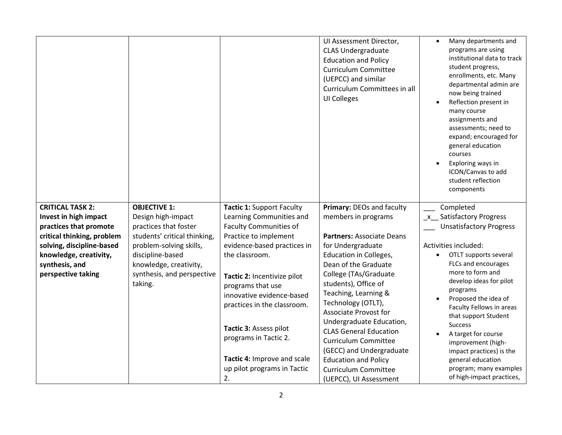|                                                                                                                                                     |                                                                                                                                                                         |                                                                                                                                                                                                                         | UI Assessment Director,<br><b>CLAS Undergraduate</b><br><b>Education and Policy</b><br><b>Curriculum Committee</b><br>(UEPCC) and similar<br>Curriculum Committees in all<br><b>UI Colleges</b>                                 | Many departments and<br>$\bullet$<br>programs are using<br>institutional data to track<br>student progress,<br>enrollments, etc. Many<br>departmental admin are<br>now being trained<br>Reflection present in<br>many course<br>assignments and<br>assessments; need to<br>expand; encouraged for<br>general education<br>courses<br>Exploring ways in<br>ICON/Canvas to add<br>student reflection<br>components |
|-----------------------------------------------------------------------------------------------------------------------------------------------------|-------------------------------------------------------------------------------------------------------------------------------------------------------------------------|-------------------------------------------------------------------------------------------------------------------------------------------------------------------------------------------------------------------------|---------------------------------------------------------------------------------------------------------------------------------------------------------------------------------------------------------------------------------|------------------------------------------------------------------------------------------------------------------------------------------------------------------------------------------------------------------------------------------------------------------------------------------------------------------------------------------------------------------------------------------------------------------|
| <b>CRITICAL TASK 2:</b><br>Invest in high impact                                                                                                    | <b>OBJECTIVE 1:</b><br>Design high-impact                                                                                                                               | <b>Tactic 1: Support Faculty</b><br>Learning Communities and                                                                                                                                                            | Primary: DEOs and faculty<br>members in programs                                                                                                                                                                                | Completed<br>_x_ Satisfactory Progress                                                                                                                                                                                                                                                                                                                                                                           |
| practices that promote<br>critical thinking, problem<br>solving, discipline-based<br>knowledge, creativity,<br>synthesis, and<br>perspective taking | practices that foster<br>students' critical thinking,<br>problem-solving skills,<br>discipline-based<br>knowledge, creativity,<br>synthesis, and perspective<br>taking. | <b>Faculty Communities of</b><br>Practice to implement<br>evidence-based practices in<br>the classroom.<br>Tactic 2: Incentivize pilot<br>programs that use<br>innovative evidence-based<br>practices in the classroom. | Partners: Associate Deans<br>for Undergraduate<br>Education in Colleges,<br>Dean of the Graduate<br>College (TAs/Graduate<br>students), Office of<br>Teaching, Learning &<br>Technology (OTLT),<br><b>Associate Provost for</b> | <b>Unsatisfactory Progress</b><br>Activities included:<br>OTLT supports several<br>FLCs and encourages<br>more to form and<br>develop ideas for pilot<br>programs<br>Proposed the idea of<br>Faculty Fellows in areas<br>that support Student                                                                                                                                                                    |
|                                                                                                                                                     |                                                                                                                                                                         | Tactic 3: Assess pilot<br>programs in Tactic 2.<br>Tactic 4: Improve and scale<br>up pilot programs in Tactic<br>2.                                                                                                     | Undergraduate Education,<br><b>CLAS General Education</b><br>Curriculum Committee<br>(GECC) and Undergraduate<br><b>Education and Policy</b><br><b>Curriculum Committee</b><br>(UEPCC), UI Assessment                           | <b>Success</b><br>A target for course<br>improvement (high-<br>impact practices) is the<br>general education<br>program; many examples<br>of high-impact practices,                                                                                                                                                                                                                                              |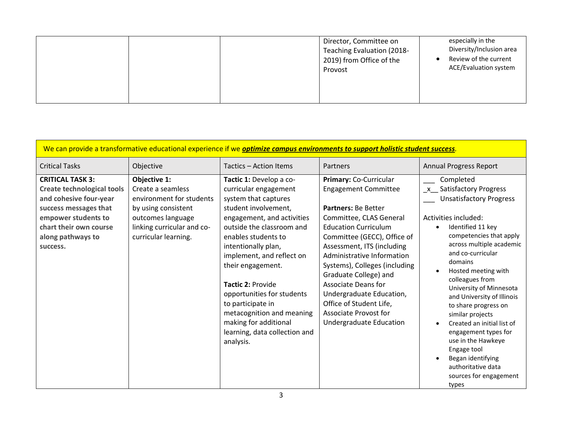|  | Director, Committee on<br>Teaching Evaluation (2018-<br>2019) from Office of the<br>Provost | especially in the<br>Diversity/Inclusion area<br>Review of the current<br>ACE/Evaluation system |
|--|---------------------------------------------------------------------------------------------|-------------------------------------------------------------------------------------------------|
|--|---------------------------------------------------------------------------------------------|-------------------------------------------------------------------------------------------------|

|                                                                                                                                                                                                   |                                                                                                                                                                 |                                                                                                                                                                                                                                                                                                                                                                                                                                                | We can provide a transformative educational experience if we <b>optimize campus environments to support holistic student success</b> .                                                                                                                                                                                                                                                                                                      |                                                                                                                                                                                                                                                                                                                                                                                                                                                                                                                                                    |
|---------------------------------------------------------------------------------------------------------------------------------------------------------------------------------------------------|-----------------------------------------------------------------------------------------------------------------------------------------------------------------|------------------------------------------------------------------------------------------------------------------------------------------------------------------------------------------------------------------------------------------------------------------------------------------------------------------------------------------------------------------------------------------------------------------------------------------------|---------------------------------------------------------------------------------------------------------------------------------------------------------------------------------------------------------------------------------------------------------------------------------------------------------------------------------------------------------------------------------------------------------------------------------------------|----------------------------------------------------------------------------------------------------------------------------------------------------------------------------------------------------------------------------------------------------------------------------------------------------------------------------------------------------------------------------------------------------------------------------------------------------------------------------------------------------------------------------------------------------|
| <b>Critical Tasks</b>                                                                                                                                                                             | Objective                                                                                                                                                       | Tactics - Action Items                                                                                                                                                                                                                                                                                                                                                                                                                         | Partners                                                                                                                                                                                                                                                                                                                                                                                                                                    | <b>Annual Progress Report</b>                                                                                                                                                                                                                                                                                                                                                                                                                                                                                                                      |
| <b>CRITICAL TASK 3:</b><br><b>Create technological tools</b><br>and cohesive four-year<br>success messages that<br>empower students to<br>chart their own course<br>along pathways to<br>success. | Objective 1:<br>Create a seamless<br>environment for students<br>by using consistent<br>outcomes language<br>linking curricular and co-<br>curricular learning. | Tactic 1: Develop a co-<br>curricular engagement<br>system that captures<br>student involvement,<br>engagement, and activities<br>outside the classroom and<br>enables students to<br>intentionally plan,<br>implement, and reflect on<br>their engagement.<br><b>Tactic 2: Provide</b><br>opportunities for students<br>to participate in<br>metacognition and meaning<br>making for additional<br>learning, data collection and<br>analysis. | Primary: Co-Curricular<br><b>Engagement Committee</b><br>Partners: Be Better<br>Committee, CLAS General<br><b>Education Curriculum</b><br>Committee (GECC), Office of<br>Assessment, ITS (including<br>Administrative Information<br>Systems), Colleges (including<br>Graduate College) and<br><b>Associate Deans for</b><br>Undergraduate Education,<br>Office of Student Life,<br><b>Associate Provost for</b><br>Undergraduate Education | Completed<br>_x__ Satisfactory Progress<br><b>Unsatisfactory Progress</b><br>Activities included:<br>Identified 11 key<br>$\bullet$<br>competencies that apply<br>across multiple academic<br>and co-curricular<br>domains<br>Hosted meeting with<br>colleagues from<br>University of Minnesota<br>and University of Illinois<br>to share progress on<br>similar projects<br>Created an initial list of<br>engagement types for<br>use in the Hawkeye<br>Engage tool<br>Began identifying<br>authoritative data<br>sources for engagement<br>types |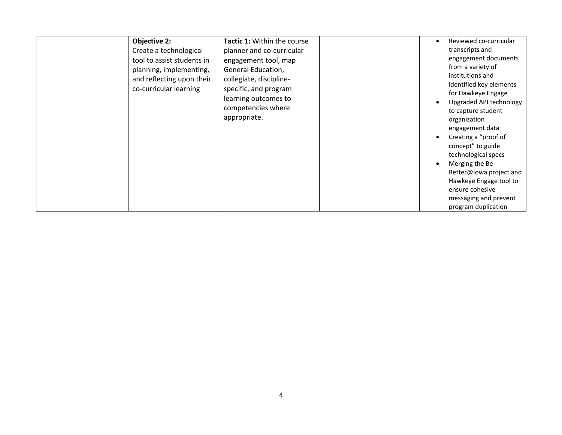| <b>Objective 2:</b><br>Create a technological<br>tool to assist students in<br>planning, implementing,<br>and reflecting upon their<br>co-curricular learning | <b>Tactic 1: Within the course</b><br>planner and co-curricular<br>engagement tool, map<br>General Education,<br>collegiate, discipline-<br>specific, and program<br>learning outcomes to<br>competencies where<br>appropriate. | $\bullet$ | Reviewed co-curricular<br>transcripts and<br>engagement documents<br>from a variety of<br>institutions and<br>identified key elements<br>for Hawkeye Engage<br>Upgraded API technology<br>to capture student<br>organization<br>engagement data<br>Creating a "proof of<br>concept" to guide<br>technological specs<br>Merging the Be<br>Better@lowa project and |
|---------------------------------------------------------------------------------------------------------------------------------------------------------------|---------------------------------------------------------------------------------------------------------------------------------------------------------------------------------------------------------------------------------|-----------|------------------------------------------------------------------------------------------------------------------------------------------------------------------------------------------------------------------------------------------------------------------------------------------------------------------------------------------------------------------|
|                                                                                                                                                               |                                                                                                                                                                                                                                 |           | Hawkeye Engage tool to<br>ensure cohesive<br>messaging and prevent<br>program duplication                                                                                                                                                                                                                                                                        |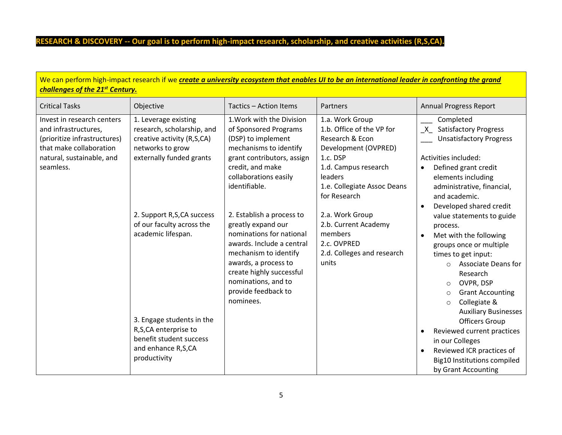# **RESEARCH & DISCOVERY -- Our goal is to perform high-impact research, scholarship, and creative activities (R,S,CA).**

| challenges of the 21 <sup>st</sup> Century.                                                                                                             |                                                                                                                                  |                                                                                                                                                                                                                                                  | We can perform high-impact research if we create a university ecosystem that enables UI to be an international leader in confronting the grand                                        |                                                                                                                                                                                                                                                                                                             |
|---------------------------------------------------------------------------------------------------------------------------------------------------------|----------------------------------------------------------------------------------------------------------------------------------|--------------------------------------------------------------------------------------------------------------------------------------------------------------------------------------------------------------------------------------------------|---------------------------------------------------------------------------------------------------------------------------------------------------------------------------------------|-------------------------------------------------------------------------------------------------------------------------------------------------------------------------------------------------------------------------------------------------------------------------------------------------------------|
| <b>Critical Tasks</b>                                                                                                                                   | Objective                                                                                                                        | Tactics - Action Items                                                                                                                                                                                                                           | Partners                                                                                                                                                                              | <b>Annual Progress Report</b>                                                                                                                                                                                                                                                                               |
| Invest in research centers<br>and infrastructures,<br>(prioritize infrastructures)<br>that make collaboration<br>natural, sustainable, and<br>seamless. | 1. Leverage existing<br>research, scholarship, and<br>creative activity (R,S,CA)<br>networks to grow<br>externally funded grants | 1. Work with the Division<br>of Sponsored Programs<br>(DSP) to implement<br>mechanisms to identify<br>grant contributors, assign<br>credit, and make<br>collaborations easily<br>identifiable.                                                   | 1.a. Work Group<br>1.b. Office of the VP for<br>Research & Econ<br>Development (OVPRED)<br>1.c. DSP<br>1.d. Campus research<br>leaders<br>1.e. Collegiate Assoc Deans<br>for Research | Completed<br>X Satisfactory Progress<br><b>Unsatisfactory Progress</b><br>Activities included:<br>Defined grant credit<br>elements including<br>administrative, financial,<br>and academic.<br>Developed shared credit<br>$\bullet$                                                                         |
|                                                                                                                                                         | 2. Support R,S,CA success<br>of our faculty across the<br>academic lifespan.                                                     | 2. Establish a process to<br>greatly expand our<br>nominations for national<br>awards. Include a central<br>mechanism to identify<br>awards, a process to<br>create highly successful<br>nominations, and to<br>provide feedback to<br>nominees. | 2.a. Work Group<br>2.b. Current Academy<br>members<br>2.c. OVPRED<br>2.d. Colleges and research<br>units                                                                              | value statements to guide<br>process.<br>Met with the following<br>$\bullet$<br>groups once or multiple<br>times to get input:<br><b>Associate Deans for</b><br>$\circ$<br>Research<br>OVPR, DSP<br>$\circ$<br><b>Grant Accounting</b><br>$\circ$<br>Collegiate &<br>$\circ$<br><b>Auxiliary Businesses</b> |
|                                                                                                                                                         | 3. Engage students in the<br>R,S,CA enterprise to<br>benefit student success<br>and enhance R,S,CA<br>productivity               |                                                                                                                                                                                                                                                  |                                                                                                                                                                                       | <b>Officers Group</b><br>Reviewed current practices<br>$\bullet$<br>in our Colleges<br>Reviewed ICR practices of<br>$\bullet$<br>Big10 Institutions compiled<br>by Grant Accounting                                                                                                                         |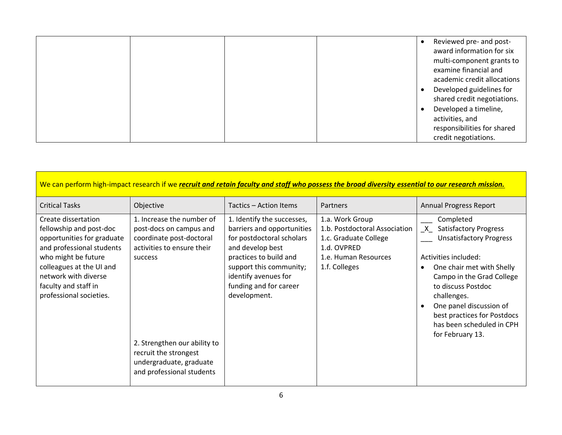|  |  |  | Reviewed pre- and post-<br>award information for six<br>multi-component grants to<br>examine financial and<br>academic credit allocations<br>Developed guidelines for<br>shared credit negotiations.<br>Developed a timeline,<br>activities, and |
|--|--|--|--------------------------------------------------------------------------------------------------------------------------------------------------------------------------------------------------------------------------------------------------|
|  |  |  | responsibilities for shared<br>credit negotiations.                                                                                                                                                                                              |

| We can perform high-impact research if we recruit and retain faculty and staff who possess the broad diversity essential to our research mission.                                                                                       |                                                                                                                                                                                                                                            |                                                                                                                                                                                                                                  |                                                                                                                                   |                                                                                                                                                                                                                                                                                                                               |
|-----------------------------------------------------------------------------------------------------------------------------------------------------------------------------------------------------------------------------------------|--------------------------------------------------------------------------------------------------------------------------------------------------------------------------------------------------------------------------------------------|----------------------------------------------------------------------------------------------------------------------------------------------------------------------------------------------------------------------------------|-----------------------------------------------------------------------------------------------------------------------------------|-------------------------------------------------------------------------------------------------------------------------------------------------------------------------------------------------------------------------------------------------------------------------------------------------------------------------------|
| <b>Critical Tasks</b>                                                                                                                                                                                                                   | Objective                                                                                                                                                                                                                                  | Tactics - Action Items                                                                                                                                                                                                           | <b>Partners</b>                                                                                                                   | <b>Annual Progress Report</b>                                                                                                                                                                                                                                                                                                 |
| Create dissertation<br>fellowship and post-doc<br>opportunities for graduate<br>and professional students<br>who might be future<br>colleagues at the UI and<br>network with diverse<br>faculty and staff in<br>professional societies. | 1. Increase the number of<br>post-docs on campus and<br>coordinate post-doctoral<br>activities to ensure their<br>success<br>2. Strengthen our ability to<br>recruit the strongest<br>undergraduate, graduate<br>and professional students | 1. Identify the successes,<br>barriers and opportunities<br>for postdoctoral scholars<br>and develop best<br>practices to build and<br>support this community;<br>identify avenues for<br>funding and for career<br>development. | 1.a. Work Group<br>1.b. Postdoctoral Association<br>1.c. Graduate College<br>1.d. OVPRED<br>1.e. Human Resources<br>1.f. Colleges | Completed<br><b>Satisfactory Progress</b><br>$\mathsf{X}$<br><b>Unsatisfactory Progress</b><br>Activities included:<br>One chair met with Shelly<br>Campo in the Grad College<br>to discuss Postdoc<br>challenges.<br>One panel discussion of<br>best practices for Postdocs<br>has been scheduled in CPH<br>for February 13. |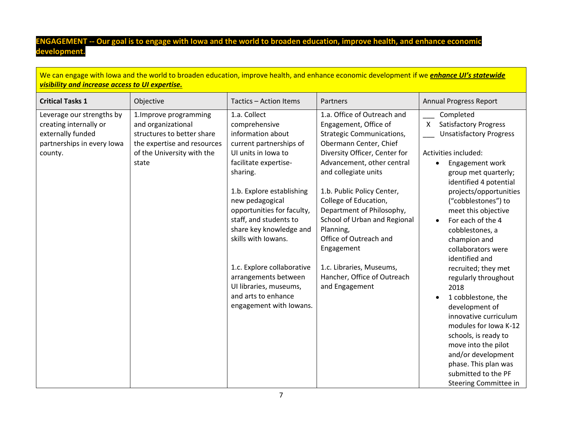### **ENGAGEMENT -- Our goal is to engage with Iowa and the world to broaden education, improve health, and enhance economic development.**

We can engage with Iowa and the world to broaden education, improve health, and enhance economic development if we *enhance UI's statewide visibility and increase access to UI expertise.*

| <b>Critical Tasks 1</b>                                                                                           | Objective                                                                                                                                        | Tactics - Action Items                                                                                                                                                                                                                                                                                                                                                                                                                | Partners                                                                                                                                                                                                                                                                                                                                                                                                                                                        | <b>Annual Progress Report</b>                                                                                                                                                                                                                                                                                                                                                                                                                                                                                                                                                                                                                                    |
|-------------------------------------------------------------------------------------------------------------------|--------------------------------------------------------------------------------------------------------------------------------------------------|---------------------------------------------------------------------------------------------------------------------------------------------------------------------------------------------------------------------------------------------------------------------------------------------------------------------------------------------------------------------------------------------------------------------------------------|-----------------------------------------------------------------------------------------------------------------------------------------------------------------------------------------------------------------------------------------------------------------------------------------------------------------------------------------------------------------------------------------------------------------------------------------------------------------|------------------------------------------------------------------------------------------------------------------------------------------------------------------------------------------------------------------------------------------------------------------------------------------------------------------------------------------------------------------------------------------------------------------------------------------------------------------------------------------------------------------------------------------------------------------------------------------------------------------------------------------------------------------|
| Leverage our strengths by<br>creating internally or<br>externally funded<br>partnerships in every lowa<br>county. | 1. Improve programming<br>and organizational<br>structures to better share<br>the expertise and resources<br>of the University with the<br>state | 1.a. Collect<br>comprehensive<br>information about<br>current partnerships of<br>UI units in Iowa to<br>facilitate expertise-<br>sharing.<br>1.b. Explore establishing<br>new pedagogical<br>opportunities for faculty,<br>staff, and students to<br>share key knowledge and<br>skills with Iowans.<br>1.c. Explore collaborative<br>arrangements between<br>UI libraries, museums,<br>and arts to enhance<br>engagement with lowans. | 1.a. Office of Outreach and<br>Engagement, Office of<br><b>Strategic Communications,</b><br>Obermann Center, Chief<br>Diversity Officer, Center for<br>Advancement, other central<br>and collegiate units<br>1.b. Public Policy Center,<br>College of Education,<br>Department of Philosophy,<br>School of Urban and Regional<br>Planning,<br>Office of Outreach and<br>Engagement<br>1.c. Libraries, Museums,<br>Hancher, Office of Outreach<br>and Engagement | Completed<br><b>Satisfactory Progress</b><br>X<br><b>Unsatisfactory Progress</b><br>Activities included:<br>Engagement work<br>group met quarterly;<br>identified 4 potential<br>projects/opportunities<br>("cobblestones") to<br>meet this objective<br>For each of the 4<br>$\bullet$<br>cobblestones, a<br>champion and<br>collaborators were<br>identified and<br>recruited; they met<br>regularly throughout<br>2018<br>1 cobblestone, the<br>development of<br>innovative curriculum<br>modules for Iowa K-12<br>schools, is ready to<br>move into the pilot<br>and/or development<br>phase. This plan was<br>submitted to the PF<br>Steering Committee in |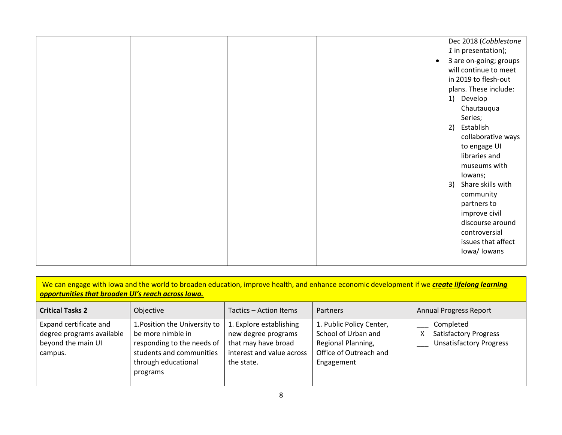|  |  | $\bullet$ | Dec 2018 (Cobblestone<br>1 in presentation);<br>3 are on-going; groups<br>will continue to meet<br>in 2019 to flesh-out<br>plans. These include:<br>1) Develop<br>Chautauqua<br>Series;<br>2) Establish<br>collaborative ways<br>to engage UI<br>libraries and<br>museums with<br>lowans;<br>3) Share skills with<br>community |
|--|--|-----------|--------------------------------------------------------------------------------------------------------------------------------------------------------------------------------------------------------------------------------------------------------------------------------------------------------------------------------|
|--|--|-----------|--------------------------------------------------------------------------------------------------------------------------------------------------------------------------------------------------------------------------------------------------------------------------------------------------------------------------------|

| We can engage with lowa and the world to broaden education, improve health, and enhance economic development if we <i>create lifelong learning</i> |  |
|----------------------------------------------------------------------------------------------------------------------------------------------------|--|
| <b>opportunities that broaden UI's reach across lowa.</b>                                                                                          |  |

| <b>Critical Tasks 2</b>                                                              | Objective                                                                                                                                       | Tactics - Action Items                                                                                           | Partners                                                                                                      | <b>Annual Progress Report</b>                                               |
|--------------------------------------------------------------------------------------|-------------------------------------------------------------------------------------------------------------------------------------------------|------------------------------------------------------------------------------------------------------------------|---------------------------------------------------------------------------------------------------------------|-----------------------------------------------------------------------------|
| Expand certificate and<br>degree programs available<br>beyond the main UI<br>campus. | 1. Position the University to<br>be more nimble in<br>responding to the needs of<br>students and communities<br>through educational<br>programs | 1. Explore establishing<br>new degree programs<br>that may have broad<br>interest and value across<br>the state. | 1. Public Policy Center,<br>School of Urban and<br>Regional Planning,<br>Office of Outreach and<br>Engagement | Completed<br><b>Satisfactory Progress</b><br><b>Unsatisfactory Progress</b> |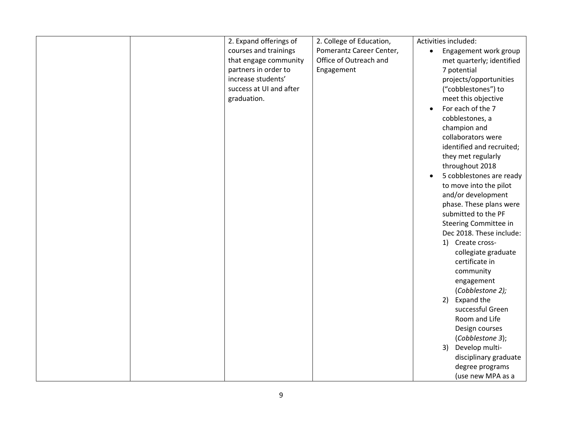|  | 2. Expand offerings of  | 2. College of Education, | Activities included:               |
|--|-------------------------|--------------------------|------------------------------------|
|  |                         | Pomerantz Career Center, |                                    |
|  | courses and trainings   |                          | Engagement work group<br>$\bullet$ |
|  | that engage community   | Office of Outreach and   | met quarterly; identified          |
|  | partners in order to    | Engagement               | 7 potential                        |
|  | increase students'      |                          | projects/opportunities             |
|  | success at UI and after |                          | ("cobblestones") to                |
|  | graduation.             |                          | meet this objective                |
|  |                         |                          | For each of the 7                  |
|  |                         |                          | cobblestones, a                    |
|  |                         |                          | champion and                       |
|  |                         |                          | collaborators were                 |
|  |                         |                          | identified and recruited;          |
|  |                         |                          | they met regularly                 |
|  |                         |                          | throughout 2018                    |
|  |                         |                          | 5 cobblestones are ready           |
|  |                         |                          | to move into the pilot             |
|  |                         |                          | and/or development                 |
|  |                         |                          | phase. These plans were            |
|  |                         |                          | submitted to the PF                |
|  |                         |                          |                                    |
|  |                         |                          | Steering Committee in              |
|  |                         |                          | Dec 2018. These include:           |
|  |                         |                          | 1) Create cross-                   |
|  |                         |                          | collegiate graduate                |
|  |                         |                          | certificate in                     |
|  |                         |                          | community                          |
|  |                         |                          | engagement                         |
|  |                         |                          | (Cobblestone 2);                   |
|  |                         |                          | Expand the<br>2)                   |
|  |                         |                          | successful Green                   |
|  |                         |                          | Room and Life                      |
|  |                         |                          | Design courses                     |
|  |                         |                          | (Cobblestone 3);                   |
|  |                         |                          | Develop multi-<br>3)               |
|  |                         |                          | disciplinary graduate              |
|  |                         |                          | degree programs                    |
|  |                         |                          | (use new MPA as a                  |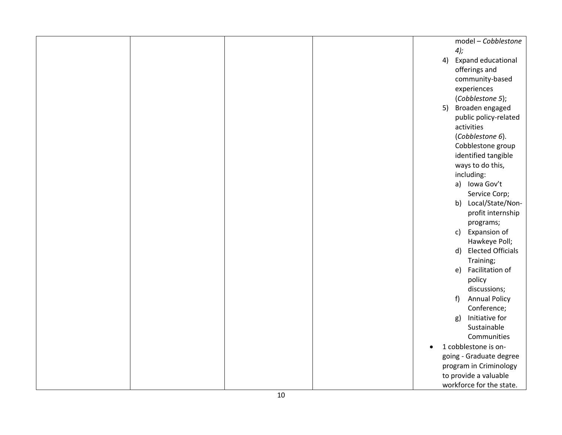|  |  |           | model - Cobblestone            |
|--|--|-----------|--------------------------------|
|  |  |           | $4$ );                         |
|  |  | 4)        | Expand educational             |
|  |  |           | offerings and                  |
|  |  |           | community-based                |
|  |  |           | experiences                    |
|  |  |           | (Cobblestone 5);               |
|  |  | 5)        | Broaden engaged                |
|  |  |           | public policy-related          |
|  |  |           | activities                     |
|  |  |           | (Cobblestone 6).               |
|  |  |           | Cobblestone group              |
|  |  |           | identified tangible            |
|  |  |           | ways to do this,               |
|  |  |           | including:                     |
|  |  |           | a) Iowa Gov't                  |
|  |  |           | Service Corp;                  |
|  |  |           | b) Local/State/Non-            |
|  |  |           | profit internship              |
|  |  |           | programs;                      |
|  |  |           | Expansion of<br>$\mathsf{C}$   |
|  |  |           | Hawkeye Poll;                  |
|  |  |           | <b>Elected Officials</b><br>d) |
|  |  |           | Training;                      |
|  |  |           | Facilitation of<br>e)          |
|  |  |           | policy                         |
|  |  |           | discussions;                   |
|  |  |           | $f$ )<br><b>Annual Policy</b>  |
|  |  |           | Conference;                    |
|  |  |           | Initiative for<br>g)           |
|  |  |           | Sustainable                    |
|  |  |           | Communities                    |
|  |  | $\bullet$ | 1 cobblestone is on-           |
|  |  |           | going - Graduate degree        |
|  |  |           | program in Criminology         |
|  |  |           | to provide a valuable          |
|  |  |           | workforce for the state.       |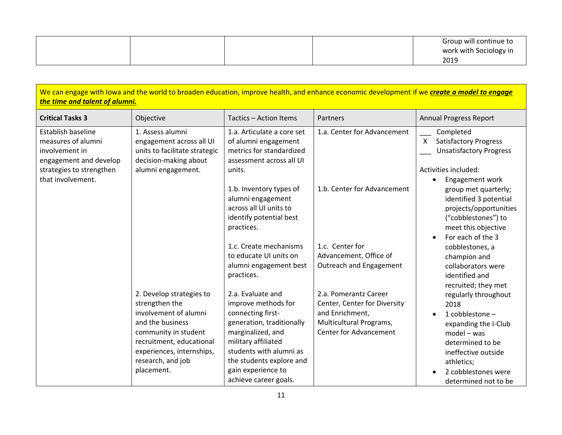|  |  | Group will continue to |
|--|--|------------------------|
|  |  | work with Sociology in |
|  |  | 2019                   |

| We can engage with lowa and the world to broaden education, improve health, and enhance economic development if we create a model to engage<br>the time and talent of alumni. |                                                                                                                                                                                                             |                                                                                                                                                                                                                                              |                                                                                                                                      |                                                                                                                                                                                                                         |  |  |
|-------------------------------------------------------------------------------------------------------------------------------------------------------------------------------|-------------------------------------------------------------------------------------------------------------------------------------------------------------------------------------------------------------|----------------------------------------------------------------------------------------------------------------------------------------------------------------------------------------------------------------------------------------------|--------------------------------------------------------------------------------------------------------------------------------------|-------------------------------------------------------------------------------------------------------------------------------------------------------------------------------------------------------------------------|--|--|
| <b>Critical Tasks 3</b>                                                                                                                                                       | Objective                                                                                                                                                                                                   | Tactics - Action Items                                                                                                                                                                                                                       | Partners                                                                                                                             | <b>Annual Progress Report</b>                                                                                                                                                                                           |  |  |
| Establish baseline<br>measures of alumni<br>involvement in<br>engagement and develop<br>strategies to strengthen<br>that involvement.                                         | 1. Assess alumni<br>engagement across all UI<br>units to facilitate strategic<br>decision-making about<br>alumni engagement.                                                                                | 1.a. Articulate a core set<br>of alumni engagement<br>metrics for standardized<br>assessment across all UI<br>units.                                                                                                                         | 1.a. Center for Advancement                                                                                                          | Completed<br><b>Satisfactory Progress</b><br>$\mathsf{X}$<br><b>Unsatisfactory Progress</b><br>Activities included:<br>Engagement work                                                                                  |  |  |
|                                                                                                                                                                               |                                                                                                                                                                                                             | 1.b. Inventory types of<br>alumni engagement<br>across all UI units to<br>identify potential best<br>practices.<br>1.c. Create mechanisms<br>to educate UI units on<br>alumni engagement best<br>practices.                                  | 1.b. Center for Advancement<br>1.c. Center for<br>Advancement, Office of<br>Outreach and Engagement                                  | group met quarterly;<br>identified 3 potential<br>projects/opportunities<br>("cobblestones") to<br>meet this objective<br>For each of the 3<br>cobblestones, a<br>champion and<br>collaborators were<br>identified and  |  |  |
|                                                                                                                                                                               | 2. Develop strategies to<br>strengthen the<br>involvement of alumni<br>and the business<br>community in student<br>recruitment, educational<br>experiences, internships,<br>research, and job<br>placement. | 2.a. Evaluate and<br>improve methods for<br>connecting first-<br>generation, traditionally<br>marginalized, and<br>military affiliated<br>students with alumni as<br>the students explore and<br>gain experience to<br>achieve career goals. | 2.a. Pomerantz Career<br>Center, Center for Diversity<br>and Enrichment,<br>Multicultural Programs,<br><b>Center for Advancement</b> | recruited; they met<br>regularly throughout<br>2018<br>1 cobblestone -<br>expanding the I-Club<br>$model - was$<br>determined to be<br>ineffective outside<br>athletics;<br>2 cobblestones were<br>determined not to be |  |  |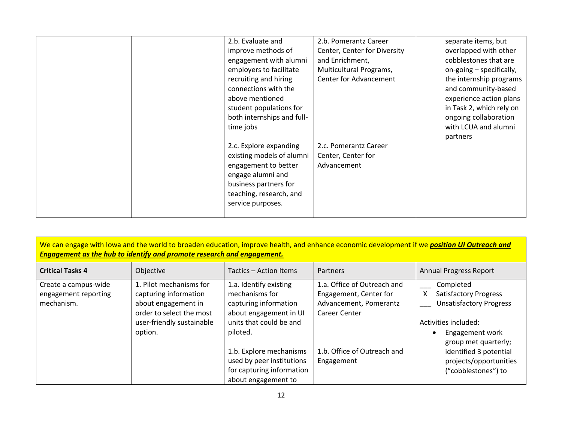| 2.b. Evaluate and<br>improve methods of<br>engagement with alumni<br>employers to facilitate<br>recruiting and hiring<br>connections with the<br>above mentioned<br>student populations for<br>both internships and full-<br>time jobs<br>2.c. Explore expanding<br>existing models of alumni | 2.b. Pomerantz Career<br>Center, Center for Diversity<br>and Enrichment,<br>Multicultural Programs,<br>Center for Advancement<br>2.c. Pomerantz Career<br>Center, Center for | separate items, but<br>overlapped with other<br>cobblestones that are<br>on-going - specifically,<br>the internship programs<br>and community-based<br>experience action plans<br>in Task 2, which rely on<br>ongoing collaboration<br>with LCUA and alumni<br>partners |
|-----------------------------------------------------------------------------------------------------------------------------------------------------------------------------------------------------------------------------------------------------------------------------------------------|------------------------------------------------------------------------------------------------------------------------------------------------------------------------------|-------------------------------------------------------------------------------------------------------------------------------------------------------------------------------------------------------------------------------------------------------------------------|
| engagement to better<br>engage alumni and<br>business partners for<br>teaching, research, and<br>service purposes.                                                                                                                                                                            | Advancement                                                                                                                                                                  |                                                                                                                                                                                                                                                                         |

| We can engage with lowa and the world to broaden education, improve health, and enhance economic development if we position UI Outreach and<br>Engagement as the hub to identify and promote research and engagement. |                                                                                                                                             |                                                                                                                                    |                                                                                                  |                                                                                                                                                     |  |
|-----------------------------------------------------------------------------------------------------------------------------------------------------------------------------------------------------------------------|---------------------------------------------------------------------------------------------------------------------------------------------|------------------------------------------------------------------------------------------------------------------------------------|--------------------------------------------------------------------------------------------------|-----------------------------------------------------------------------------------------------------------------------------------------------------|--|
| <b>Critical Tasks 4</b>                                                                                                                                                                                               | Objective                                                                                                                                   | Tactics – Action Items                                                                                                             | <b>Partners</b>                                                                                  | <b>Annual Progress Report</b>                                                                                                                       |  |
| Create a campus-wide<br>engagement reporting<br>mechanism.                                                                                                                                                            | 1. Pilot mechanisms for<br>capturing information<br>about engagement in<br>order to select the most<br>user-friendly sustainable<br>option. | 1.a. Identify existing<br>mechanisms for<br>capturing information<br>about engagement in UI<br>units that could be and<br>piloted. | 1.a. Office of Outreach and<br>Engagement, Center for<br>Advancement, Pomerantz<br>Career Center | Completed<br><b>Satisfactory Progress</b><br>X<br><b>Unsatisfactory Progress</b><br>Activities included:<br>Engagement work<br>group met quarterly; |  |
|                                                                                                                                                                                                                       |                                                                                                                                             | 1.b. Explore mechanisms<br>used by peer institutions<br>for capturing information<br>about engagement to                           | 1.b. Office of Outreach and<br>Engagement                                                        | identified 3 potential<br>projects/opportunities<br>("cobblestones") to                                                                             |  |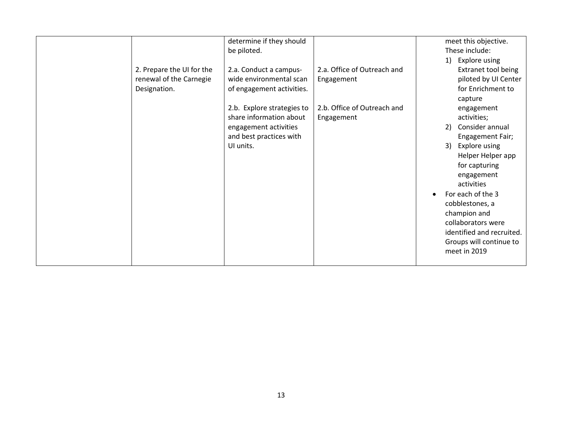|                           | determine if they should<br>be piloted. |                             | meet this objective.<br>These include: |
|---------------------------|-----------------------------------------|-----------------------------|----------------------------------------|
|                           |                                         |                             |                                        |
|                           |                                         |                             | Explore using<br>1)                    |
| 2. Prepare the UI for the | 2.a. Conduct a campus-                  | 2.a. Office of Outreach and | <b>Extranet tool being</b>             |
| renewal of the Carnegie   | wide environmental scan                 | Engagement                  | piloted by UI Center                   |
| Designation.              | of engagement activities.               |                             | for Enrichment to                      |
|                           |                                         |                             | capture                                |
|                           | 2.b. Explore strategies to              | 2.b. Office of Outreach and | engagement                             |
|                           | share information about                 |                             | activities;                            |
|                           |                                         | Engagement                  |                                        |
|                           | engagement activities                   |                             | Consider annual<br>2)                  |
|                           | and best practices with                 |                             | Engagement Fair;                       |
|                           | UI units.                               |                             | Explore using<br>3)                    |
|                           |                                         |                             | Helper Helper app                      |
|                           |                                         |                             | for capturing                          |
|                           |                                         |                             | engagement                             |
|                           |                                         |                             | activities                             |
|                           |                                         |                             | For each of the 3                      |
|                           |                                         |                             |                                        |
|                           |                                         |                             | cobblestones, a                        |
|                           |                                         |                             | champion and                           |
|                           |                                         |                             | collaborators were                     |
|                           |                                         |                             | identified and recruited.              |
|                           |                                         |                             | Groups will continue to                |
|                           |                                         |                             | meet in 2019                           |
|                           |                                         |                             |                                        |
|                           |                                         |                             |                                        |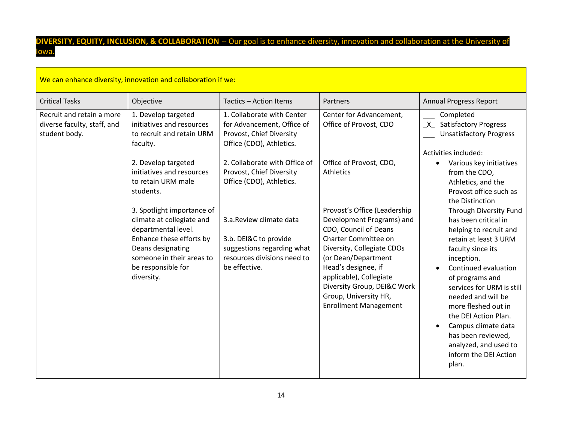## **DIVERSITY, EQUITY, INCLUSION, & COLLABORATION** -- Our goal is to enhance diversity, innovation and collaboration at the University of Iowa.

| We can enhance diversity, innovation and collaboration if we:             |                                                                                                                                                                                                  |                                                                                                                                |                                                                                                                                                                                                                                                                                                           |                                                                                                                                                                                                                                                                                                                                                                                           |  |  |
|---------------------------------------------------------------------------|--------------------------------------------------------------------------------------------------------------------------------------------------------------------------------------------------|--------------------------------------------------------------------------------------------------------------------------------|-----------------------------------------------------------------------------------------------------------------------------------------------------------------------------------------------------------------------------------------------------------------------------------------------------------|-------------------------------------------------------------------------------------------------------------------------------------------------------------------------------------------------------------------------------------------------------------------------------------------------------------------------------------------------------------------------------------------|--|--|
| <b>Critical Tasks</b>                                                     | Objective                                                                                                                                                                                        | Tactics - Action Items                                                                                                         | Partners                                                                                                                                                                                                                                                                                                  | <b>Annual Progress Report</b>                                                                                                                                                                                                                                                                                                                                                             |  |  |
| Recruit and retain a more<br>diverse faculty, staff, and<br>student body. | 1. Develop targeted<br>initiatives and resources<br>to recruit and retain URM<br>faculty.                                                                                                        | 1. Collaborate with Center<br>for Advancement, Office of<br>Provost, Chief Diversity<br>Office (CDO), Athletics.               | Center for Advancement,<br>Office of Provost, CDO                                                                                                                                                                                                                                                         | Completed<br>X Satisfactory Progress<br><b>Unsatisfactory Progress</b><br>Activities included:                                                                                                                                                                                                                                                                                            |  |  |
|                                                                           | 2. Develop targeted<br>initiatives and resources<br>to retain URM male<br>students.                                                                                                              | 2. Collaborate with Office of<br>Provost, Chief Diversity<br>Office (CDO), Athletics.                                          | Office of Provost, CDO,<br>Athletics                                                                                                                                                                                                                                                                      | Various key initiatives<br>٠<br>from the CDO,<br>Athletics, and the<br>Provost office such as<br>the Distinction                                                                                                                                                                                                                                                                          |  |  |
|                                                                           | 3. Spotlight importance of<br>climate at collegiate and<br>departmental level.<br>Enhance these efforts by<br>Deans designating<br>someone in their areas to<br>be responsible for<br>diversity. | 3.a.Review climate data<br>3.b. DEI&C to provide<br>suggestions regarding what<br>resources divisions need to<br>be effective. | Provost's Office (Leadership<br>Development Programs) and<br>CDO, Council of Deans<br>Charter Committee on<br>Diversity, Collegiate CDOs<br>(or Dean/Department<br>Head's designee, if<br>applicable), Collegiate<br>Diversity Group, DEI&C Work<br>Group, University HR,<br><b>Enrollment Management</b> | Through Diversity Fund<br>has been critical in<br>helping to recruit and<br>retain at least 3 URM<br>faculty since its<br>inception.<br>Continued evaluation<br>of programs and<br>services for URM is still<br>needed and will be<br>more fleshed out in<br>the DEI Action Plan.<br>Campus climate data<br>has been reviewed,<br>analyzed, and used to<br>inform the DEI Action<br>plan. |  |  |